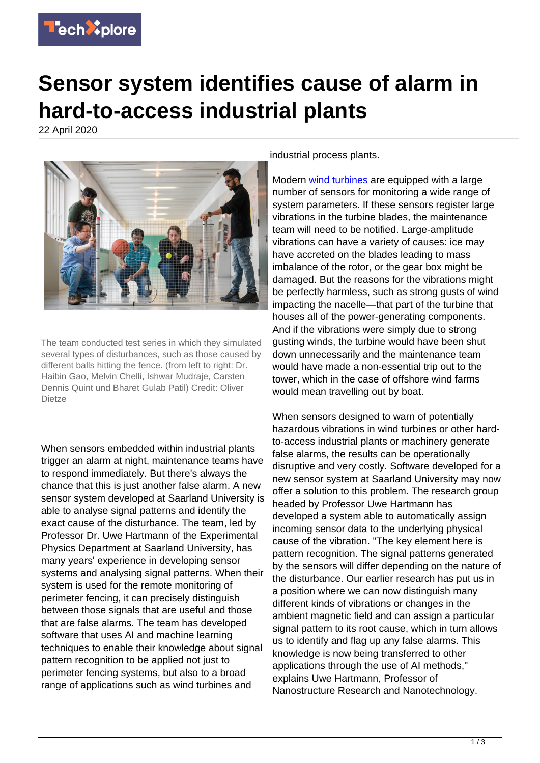

## **Sensor system identifies cause of alarm in hard-to-access industrial plants**

22 April 2020



The team conducted test series in which they simulated several types of disturbances, such as those caused by different balls hitting the fence. (from left to right: Dr. Haibin Gao, Melvin Chelli, Ishwar Mudraje, Carsten Dennis Quint und Bharet Gulab Patil) Credit: Oliver Dietze

When sensors embedded within industrial plants trigger an alarm at night, maintenance teams have to respond immediately. But there's always the chance that this is just another false alarm. A new sensor system developed at Saarland University is able to analyse signal patterns and identify the exact cause of the disturbance. The team, led by Professor Dr. Uwe Hartmann of the Experimental Physics Department at Saarland University, has many years' experience in developing sensor systems and analysing signal patterns. When their system is used for the remote monitoring of perimeter fencing, it can precisely distinguish between those signals that are useful and those that are false alarms. The team has developed software that uses AI and machine learning techniques to enable their knowledge about signal pattern recognition to be applied not just to perimeter fencing systems, but also to a broad range of applications such as wind turbines and

industrial process plants.

Modern [wind turbines](https://techxplore.com/tags/wind+turbines/) are equipped with a large number of sensors for monitoring a wide range of system parameters. If these sensors register large vibrations in the turbine blades, the maintenance team will need to be notified. Large-amplitude vibrations can have a variety of causes: ice may have accreted on the blades leading to mass imbalance of the rotor, or the gear box might be damaged. But the reasons for the vibrations might be perfectly harmless, such as strong gusts of wind impacting the nacelle—that part of the turbine that houses all of the power-generating components. And if the vibrations were simply due to strong gusting winds, the turbine would have been shut down unnecessarily and the maintenance team would have made a non-essential trip out to the tower, which in the case of offshore wind farms would mean travelling out by boat.

When sensors designed to warn of potentially hazardous vibrations in wind turbines or other hardto-access industrial plants or machinery generate false alarms, the results can be operationally disruptive and very costly. Software developed for a new sensor system at Saarland University may now offer a solution to this problem. The research group headed by Professor Uwe Hartmann has developed a system able to automatically assign incoming sensor data to the underlying physical cause of the vibration. "The key element here is pattern recognition. The signal patterns generated by the sensors will differ depending on the nature of the disturbance. Our earlier research has put us in a position where we can now distinguish many different kinds of vibrations or changes in the ambient magnetic field and can assign a particular signal pattern to its root cause, which in turn allows us to identify and flag up any false alarms. This knowledge is now being transferred to other applications through the use of AI methods," explains Uwe Hartmann, Professor of Nanostructure Research and Nanotechnology.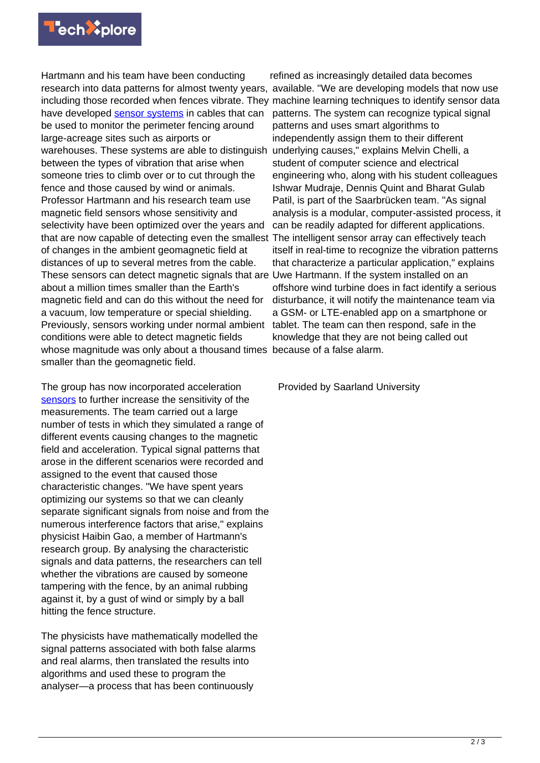

Hartmann and his team have been conducting research into data patterns for almost twenty years, available. "We are developing models that now use including those recorded when fences vibrate. They machine learning techniques to identify sensor data have developed [sensor systems](https://techxplore.com/tags/sensor+systems/) in cables that can be used to monitor the perimeter fencing around large-acreage sites such as airports or warehouses. These systems are able to distinguish underlying causes," explains Melvin Chelli, a between the types of vibration that arise when someone tries to climb over or to cut through the fence and those caused by wind or animals. Professor Hartmann and his research team use magnetic field sensors whose sensitivity and selectivity have been optimized over the years and that are now capable of detecting even the smallest The intelligent sensor array can effectively teach of changes in the ambient geomagnetic field at distances of up to several metres from the cable. These sensors can detect magnetic signals that are about a million times smaller than the Earth's magnetic field and can do this without the need for a vacuum, low temperature or special shielding. Previously, sensors working under normal ambient conditions were able to detect magnetic fields whose magnitude was only about a thousand times because of a false alarm. smaller than the geomagnetic field.

The group has now incorporated acceleration [sensors](https://techxplore.com/tags/sensors/) to further increase the sensitivity of the measurements. The team carried out a large number of tests in which they simulated a range of different events causing changes to the magnetic field and acceleration. Typical signal patterns that arose in the different scenarios were recorded and assigned to the event that caused those characteristic changes. "We have spent years optimizing our systems so that we can cleanly separate significant signals from noise and from the numerous interference factors that arise," explains physicist Haibin Gao, a member of Hartmann's research group. By analysing the characteristic signals and data patterns, the researchers can tell whether the vibrations are caused by someone tampering with the fence, by an animal rubbing against it, by a gust of wind or simply by a ball hitting the fence structure.

The physicists have mathematically modelled the signal patterns associated with both false alarms and real alarms, then translated the results into algorithms and used these to program the analyser—a process that has been continuously

refined as increasingly detailed data becomes patterns. The system can recognize typical signal patterns and uses smart algorithms to independently assign them to their different student of computer science and electrical engineering who, along with his student colleagues Ishwar Mudraje, Dennis Quint and Bharat Gulab Patil, is part of the Saarbrücken team. "As signal analysis is a modular, computer-assisted process, it can be readily adapted for different applications. itself in real-time to recognize the vibration patterns that characterize a particular application," explains Uwe Hartmann. If the system installed on an offshore wind turbine does in fact identify a serious disturbance, it will notify the maintenance team via a GSM- or LTE-enabled app on a smartphone or tablet. The team can then respond, safe in the knowledge that they are not being called out

Provided by Saarland University